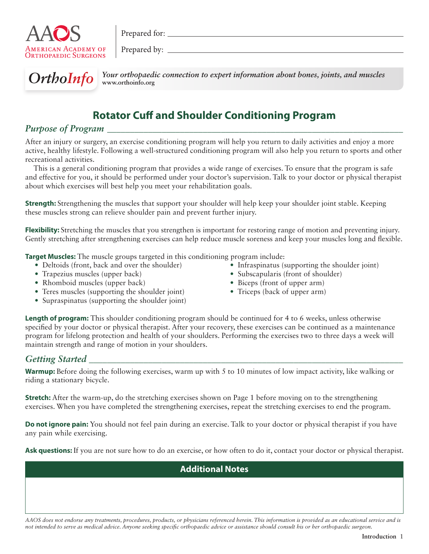

Prepared for:

Prepared by:



OrthoInfo Your orthopaedic connection to expert information about bones, joints, and muscles **www.orthoinfo.org**

# **Rotator Cuff and Shoulder Conditioning Program**

## *Purpose of Program \_\_\_\_\_\_\_\_\_\_\_\_\_\_\_\_\_\_\_\_\_\_\_\_\_\_\_\_\_\_\_\_\_\_\_\_\_\_\_\_\_\_\_\_\_\_\_\_\_\_\_\_\_\_\_\_\_\_\_\_\_\_\_\_\_*

After an injury or surgery, an exercise conditioning program will help you return to daily activities and enjoy a more active, healthy lifestyle. Following a well-structured conditioning program will also help you return to sports and other recreational activities.

This is a general conditioning program that provides a wide range of exercises. To ensure that the program is safe and effective for you, it should be performed under your doctor's supervision. Talk to your doctor or physical therapist about which exercises will best help you meet your rehabilitation goals.

**Strength:** Strengthening the muscles that support your shoulder will help keep your shoulder joint stable. Keeping these muscles strong can relieve shoulder pain and prevent further injury.

**Flexibility:** Stretching the muscles that you strengthen is important for restoring range of motion and preventing injury. Gently stretching after strengthening exercises can help reduce muscle soreness and keep your muscles long and flexible.

**Target Muscles:** The muscle groups targeted in this conditioning program include:

- Deltoids (front, back and over the shoulder)
- Trapezius muscles (upper back)
- Rhomboid muscles (upper back)
- Teres muscles (supporting the shoulder joint)
- Supraspinatus (supporting the shoulder joint)
- Infraspinatus (supporting the shoulder joint)
- Subscapularis (front of shoulder)
- Biceps (front of upper arm)
- Triceps (back of upper arm)

**Length of program:** This shoulder conditioning program should be continued for 4 to 6 weeks, unless otherwise specified by your doctor or physical therapist. After your recovery, these exercises can be continued as a maintenance program for lifelong protection and health of your shoulders. Performing the exercises two to three days a week will maintain strength and range of motion in your shoulders.

## *Getting Started \_\_\_\_\_\_\_\_\_\_\_\_\_\_\_\_\_\_\_\_\_\_\_\_\_\_\_\_\_\_\_\_\_\_\_\_\_\_\_\_\_\_\_\_\_\_\_\_\_\_\_\_\_\_\_\_\_\_\_\_\_\_\_\_\_\_\_\_\_*

**Warmup:** Before doing the following exercises, warm up with 5 to 10 minutes of low impact activity, like walking or riding a stationary bicycle.

**Stretch:** After the warm-up, do the stretching exercises shown on Page 1 before moving on to the strengthening exercises. When you have completed the strengthening exercises, repeat the stretching exercises to end the program.

**Do not ignore pain:** You should not feel pain during an exercise. Talk to your doctor or physical therapist if you have any pain while exercising.

**Ask questions:** If you are not sure how to do an exercise, or how often to do it, contact your doctor or physical therapist.

**Additional Notes**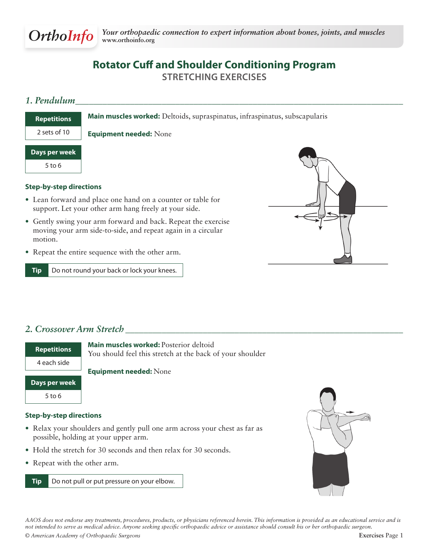

# **Rotator Cuff and Shoulder Conditioning Program Stretching Exercises**

## *1. Pendulum\_\_\_\_\_\_\_\_\_\_\_\_\_\_\_\_\_\_\_\_\_\_\_\_\_\_\_\_\_\_\_\_\_\_\_\_\_\_\_\_\_\_\_\_\_\_\_\_\_\_\_\_\_\_\_\_\_\_\_\_\_\_\_\_\_\_\_\_\_\_\_\_*

**Main muscles worked:** Deltoids, supraspinatus, infraspinatus, subscapularis **Repetitions**

**Equipment needed:** None

| Days per week |  |  |
|---------------|--|--|
|               |  |  |

2 sets of 10

5 to 6

### **Step-by-step directions**

- Lean forward and place one hand on a counter or table for support. Let your other arm hang freely at your side.
- Gently swing your arm forward and back. Repeat the exercise moving your arm side-to-side, and repeat again in a circular motion.
- Repeat the entire sequence with the other arm.

**Tip** Do not round your back or lock your knees.



## *2. Crossover Arm Stretch \_\_\_\_\_\_\_\_\_\_\_\_\_\_\_\_\_\_\_\_\_\_\_\_\_\_\_\_\_\_\_\_\_\_\_\_\_\_\_\_\_\_\_\_\_\_\_\_\_\_\_\_\_\_\_\_\_\_\_\_\_*

| <b>Repetitions</b> | <b>Main muscles worked: Posterior deltoid</b><br>You should feel this stretch at the back of your shoulder |
|--------------------|------------------------------------------------------------------------------------------------------------|
| 4 each side        |                                                                                                            |
|                    | <b>Equipment needed: None</b>                                                                              |
| Days per week      |                                                                                                            |
| $5$ to 6           |                                                                                                            |

#### **Step-by-step directions**

- Relax your shoulders and gently pull one arm across your chest as far as possible, holding at your upper arm.
- Hold the stretch for 30 seconds and then relax for 30 seconds.
- Repeat with the other arm.



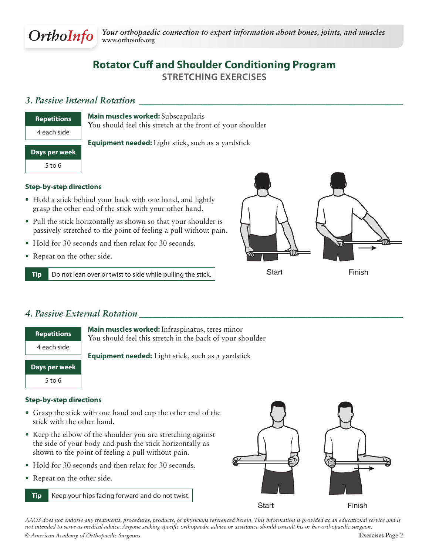

# **Rotator Cuff and Shoulder Conditioning Program Stretching Exercises**

## *3. Passive Internal Rotation \_\_\_\_\_\_\_\_\_\_\_\_\_\_\_\_\_\_\_\_\_\_\_\_\_\_\_\_\_\_\_\_\_\_\_\_\_\_\_\_\_\_\_\_\_\_\_\_\_\_\_\_\_\_\_\_\_\_*

| <b>Repetitions</b> |
|--------------------|
| 4 each side        |
|                    |
| Days per week      |

**Main muscles worked:** Subscapularis You should feel this stretch at the front of your shoulder

**Equipment needed:** Light stick, such as a yardstick

### **Step-by-step directions**

- Hold a stick behind your back with one hand, and lightly grasp the other end of the stick with your other hand.
- Pull the stick horizontally as shown so that your shoulder is passively stretched to the point of feeling a pull without pain.
- Hold for 30 seconds and then relax for 30 seconds.
- Repeat on the other side.

**Tip** Do not lean over or twist to side while pulling the stick.



**Start** 

Finish

## *4. Passive External Rotation \_\_\_\_\_\_\_\_\_\_\_\_\_\_\_\_\_\_\_\_\_\_\_\_\_\_\_\_\_\_\_\_\_\_\_\_\_\_\_\_\_\_\_\_\_\_\_\_\_\_\_\_\_\_\_\_\_\_*

| <b>Repetitions</b> | <b>Main muscles worked:</b> Infraspinatus, teres minor<br>You should feel this stretch in the back of your shou |
|--------------------|-----------------------------------------------------------------------------------------------------------------|
| 4 each side        | <b>Equipment needed:</b> Light stick, such as a yardstick                                                       |
| Days per week      |                                                                                                                 |
| $F + \alpha$       |                                                                                                                 |

**Main muscles worked:** Infraspinatus, teres minor You should feel this stretch in the back of your shoulder

5 to 6

- **Step-by-step directions**
- Grasp the stick with one hand and cup the other end of the stick with the other hand.
- Keep the elbow of the shoulder you are stretching against the side of your body and push the stick horizontally as shown to the point of feeling a pull without pain.
- Hold for 30 seconds and then relax for 30 seconds.
- Repeat on the other side.
	- **Tip** Keep your hips facing forward and do not twist.



Start

Finish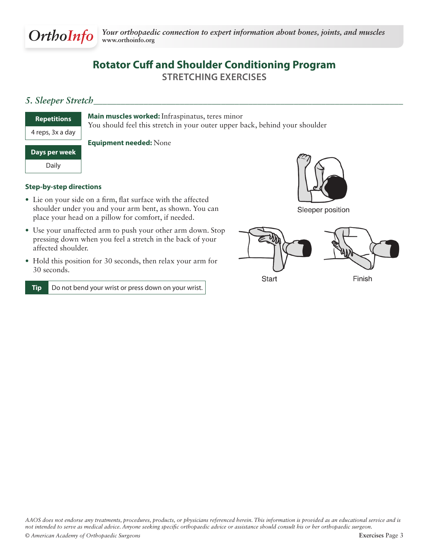

# **Rotator Cuff and Shoulder Conditioning Program Stretching Exercises**

## *5. Sleeper Stretch\_\_\_\_\_\_\_\_\_\_\_\_\_\_\_\_\_\_\_\_\_\_\_\_\_\_\_\_\_\_\_\_\_\_\_\_\_\_\_\_\_\_\_\_\_\_\_\_\_\_\_\_\_\_\_\_\_\_\_\_\_\_\_\_\_\_\_\_*

| <b>Repetitions</b> | Ī |
|--------------------|---|
| 4 reps, 3x a day   |   |

**Main muscles worked:** Infraspinatus, teres minor

You should feel this stretch in your outer upper back, behind your shoulder

### **Days per week**

Daily

**Equipment needed:** None

### **Step-by-step directions**

- Lie on your side on a firm, flat surface with the affected shoulder under you and your arm bent, as shown. You can place your head on a pillow for comfort, if needed.
- Use your unaffected arm to push your other arm down. Stop pressing down when you feel a stretch in the back of your affected shoulder.
- Hold this position for 30 seconds, then relax your arm for 30 seconds.

**Tip** Do not bend your wrist or press down on your wrist.



Sleeper position

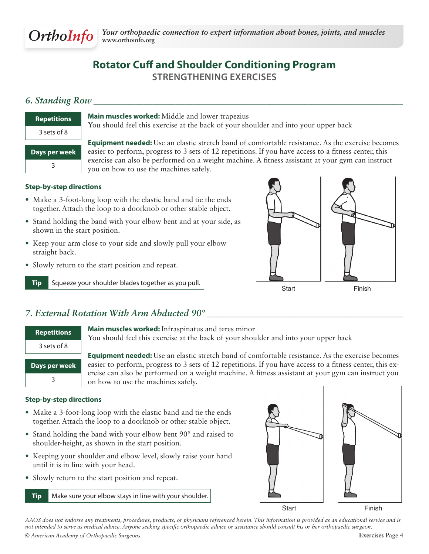

# **Rotator Cuff and Shoulder Conditioning Program Strengthening Exercises**

## *6. Standing Row \_\_\_\_\_\_\_\_\_\_\_\_\_\_\_\_\_\_\_\_\_\_\_\_\_\_\_\_\_\_\_\_\_\_\_\_\_\_\_\_\_\_\_\_\_\_\_\_\_\_\_\_\_\_\_\_\_\_\_\_\_\_\_\_\_\_\_\_*

| <b>Repetitions</b> |
|--------------------|
| 3 sets of 8        |
| Days per week      |
|                    |

**Main muscles worked:** Middle and lower trapezius

You should feel this exercise at the back of your shoulder and into your upper back

**Equipment needed:** Use an elastic stretch band of comfortable resistance. As the exercise becomes easier to perform, progress to 3 sets of 12 repetitions. If you have access to a fitness center, this exercise can also be performed on a weight machine. A fitness assistant at your gym can instruct you on how to use the machines safely.

### **Step-by-step directions**

- Make a 3-foot-long loop with the elastic band and tie the ends together. Attach the loop to a doorknob or other stable object.
- Stand holding the band with your elbow bent and at your side, as shown in the start position.
- Keep your arm close to your side and slowly pull your elbow straight back.
- Slowly return to the start position and repeat.

**Tip** Squeeze your shoulder blades together as you pull.



## *7. External Rotation With Arm Abducted 90° \_\_\_\_\_\_\_\_\_\_\_\_\_\_\_\_\_\_\_\_\_\_\_\_\_\_\_\_\_\_\_\_\_\_\_\_\_\_\_\_\_\_\_*

| <b>Repetitions</b> |
|--------------------|
| 3 sets of 8        |
| Days per week      |
|                    |

**Main muscles worked:** Infraspinatus and teres minor You should feel this exercise at the back of your shoulder and into your upper back

**Equipment needed:** Use an elastic stretch band of comfortable resistance. As the exercise becomes easier to perform, progress to 3 sets of 12 repetitions. If you have access to a fitness center, this exercise can also be performed on a weight machine. A fitness assistant at your gym can instruct you on how to use the machines safely.

#### **Step-by-step directions**

- Make a 3-foot-long loop with the elastic band and tie the ends together. Attach the loop to a doorknob or other stable object.
- Stand holding the band with your elbow bent 90° and raised to shoulder-height, as shown in the start position.
- Keeping your shoulder and elbow level, slowly raise your hand until it is in line with your head.
- Slowly return to the start position and repeat.
	- **Tip** Make sure your elbow stays in line with your shoulder.

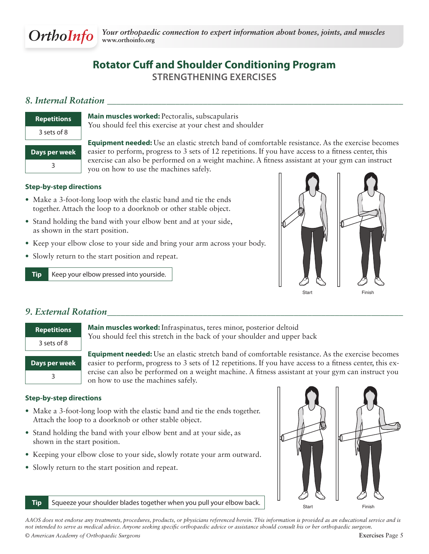

# **Rotator Cuff and Shoulder Conditioning Program Strengthening Exercises**

## *8. Internal Rotation \_\_\_\_\_\_\_\_\_\_\_\_\_\_\_\_\_\_\_\_\_\_\_\_\_\_\_\_\_\_\_\_\_\_\_\_\_\_\_\_\_\_\_\_\_\_\_\_\_\_\_\_\_\_\_\_\_\_\_\_\_\_\_\_\_*

| <b>Repetitions</b> |
|--------------------|
| 3 sets of 8        |
|                    |
| Days per week      |

**Main muscles worked:** Pectoralis, subscapularis You should feel this exercise at your chest and shoulder

**Equipment needed:** Use an elastic stretch band of comfortable resistance. As the exercise becomes easier to perform, progress to 3 sets of 12 repetitions. If you have access to a fitness center, this exercise can also be performed on a weight machine. A fitness assistant at your gym can instruct you on how to use the machines safely.

### **Step-by-step directions**

- Make a 3-foot-long loop with the elastic band and tie the ends together. Attach the loop to a doorknob or other stable object.
- Stand holding the band with your elbow bent and at your side, as shown in the start position.
- Keep your elbow close to your side and bring your arm across your body.
- Slowly return to the start position and repeat.

**Tip** Keep your elbow pressed into yourside.



## *9. External Rotation\_\_\_\_\_\_\_\_\_\_\_\_\_\_\_\_\_\_\_\_\_\_\_\_\_\_\_\_\_\_\_\_\_\_\_\_\_\_\_\_\_\_\_\_\_\_\_\_\_\_\_\_\_\_\_\_\_\_\_\_\_\_\_\_\_*

| <b>Repetitions</b> |
|--------------------|
| 3 sets of 8        |
| Days per week      |
|                    |

**Main muscles worked:** Infraspinatus, teres minor, posterior deltoid You should feel this stretch in the back of your shoulder and upper back

**Equipment needed:** Use an elastic stretch band of comfortable resistance. As the exercise becomes easier to perform, progress to 3 sets of 12 repetitions. If you have access to a fitness center, this exercise can also be performed on a weight machine. A fitness assistant at your gym can instruct you on how to use the machines safely.

#### **Step-by-step directions**

- Make a 3-foot-long loop with the elastic band and tie the ends together. Attach the loop to a doorknob or other stable object.
- Stand holding the band with your elbow bent and at your side, as shown in the start position.
- Keeping your elbow close to your side, slowly rotate your arm outward.
- Slowly return to the start position and repeat.



**Tip** Squeeze your shoulder blades together when you pull your elbow back. Start Start Finish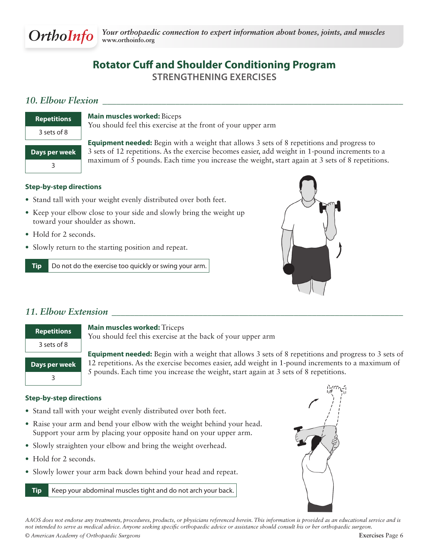

# **Rotator Cuff and Shoulder Conditioning Program Strengthening Exercises**

## *10. Elbow Flexion \_\_\_\_\_\_\_\_\_\_\_\_\_\_\_\_\_\_\_\_\_\_\_\_\_\_\_\_\_\_\_\_\_\_\_\_\_\_\_\_\_\_\_\_\_\_\_\_\_\_\_\_\_\_\_\_\_\_\_\_\_\_\_\_\_\_*

| <b>Repetitions</b> |
|--------------------|
| 3 sets of 8        |
|                    |
| Days per week      |
| २                  |

**Equipment needed:** Begin with a weight that allows 3 sets of 8 repetitions and progress to 3 sets of 12 repetitions. As the exercise becomes easier, add weight in 1-pound increments to a

You should feel this exercise at the front of your upper arm

maximum of 5 pounds. Each time you increase the weight, start again at 3 sets of 8 repetitions.

### **Step-by-step directions**

- Stand tall with your weight evenly distributed over both feet.
- Keep your elbow close to your side and slowly bring the weight up toward your shoulder as shown.

**Main muscles worked:** Biceps

- Hold for 2 seconds.
- Slowly return to the starting position and repeat.

**Tip** Do not do the exercise too quickly or swing your arm.



## *11. Elbow Extension \_\_\_\_\_\_\_\_\_\_\_\_\_\_\_\_\_\_\_\_\_\_\_\_\_\_\_\_\_\_\_\_\_\_\_\_\_\_\_\_\_\_\_\_\_\_\_\_\_\_\_\_\_\_\_\_\_\_\_\_\_\_\_\_*

| <b>Repetitions</b> |
|--------------------|
| 3 sets of 8        |
| Days per week      |
| ς                  |

#### **Main muscles worked:** Triceps

You should feel this exercise at the back of your upper arm

**Equipment needed:** Begin with a weight that allows 3 sets of 8 repetitions and progress to 3 sets of 12 repetitions. As the exercise becomes easier, add weight in 1-pound increments to a maximum of 5 pounds. Each time you increase the weight, start again at 3 sets of 8 repetitions.

#### **Step-by-step directions**

- Stand tall with your weight evenly distributed over both feet.
- Raise your arm and bend your elbow with the weight behind your head. Support your arm by placing your opposite hand on your upper arm.
- Slowly straighten your elbow and bring the weight overhead.
- Hold for 2 seconds.
- Slowly lower your arm back down behind your head and repeat.

**Tip** Keep your abdominal muscles tight and do not arch your back.

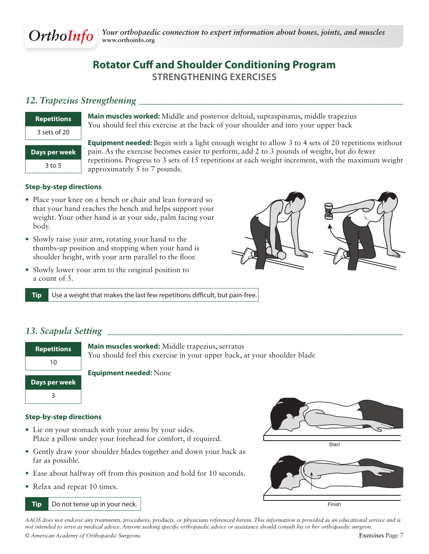

# **Rotator Cuff and Shoulder Conditioning Program Strengthening Exercises**

## *12. Trapezius Strengthening \_\_\_\_\_\_\_\_\_\_\_\_\_\_\_\_\_\_\_\_\_\_\_\_\_\_\_\_\_\_\_\_\_\_\_\_\_\_\_\_\_\_\_\_\_\_\_\_\_\_\_\_\_\_\_\_\_\_*

| <b>Repetitions</b> |
|--------------------|
| 3 sets of 20       |
|                    |
| Days per week      |

**Main muscles worked:** Middle and posterior deltoid, supraspinatus, middle trapezius You should feel this exercise at the back of your shoulder and into your upper back

**Equipment needed:** Begin with a light enough weight to allow 3 to 4 sets of 20 repetitions without pain. As the exercise becomes easier to perform, add 2 to 3 pounds of weight, but do fewer repetitions. Progress to 3 sets of 15 repetitions at each weight increment, with the maximum weight approximately 5 to 7 pounds.

### **Step-by-step directions**

- Place your knee on a bench or chair and lean forward so that your hand reaches the bench and helps support your weight. Your other hand is at your side, palm facing your body.
- Slowly raise your arm, rotating your hand to the thumbs-up position and stopping when your hand is shoulder height, with your arm parallel to the floor.
- Slowly lower your arm to the original position to a count of 5.





**Tip** Use a weight that makes the last few repetitions difficult, but pain-free.

## *13. Scapula Setting \_\_\_\_\_\_\_\_\_\_\_\_\_\_\_\_\_\_\_\_\_\_\_\_\_\_\_\_\_\_\_\_\_\_\_\_\_\_\_\_\_\_\_\_\_\_\_\_\_\_\_\_\_\_\_\_\_\_\_\_\_\_\_\_\_*



#### **Step-by-step directions**

- Lie on your stomach with your arms by your sides. Place a pillow under your forehead for comfort, if required.
- Gently draw your shoulder blades together and down your back as far as possible.
- Ease about halfway off from this position and hold for 10 seconds.
- Relax and repeat 10 times.

#### **Tip** Do not tense up in your neck.



**Start** 

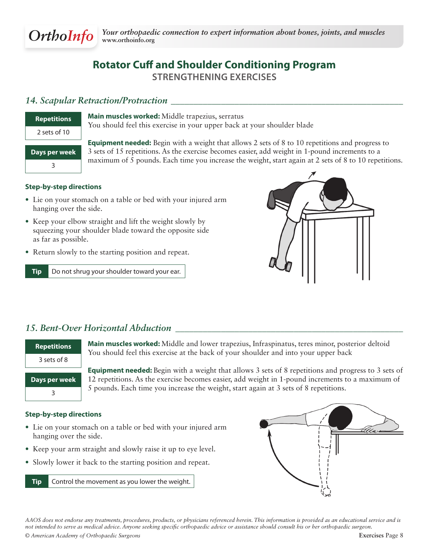

# **Rotator Cuff and Shoulder Conditioning Program Strengthening Exercises**

### *14. Scapular Retraction/Protraction \_\_\_\_\_\_\_\_\_\_\_\_\_\_\_\_\_\_\_\_\_\_\_\_\_\_\_\_\_\_\_\_\_\_\_\_\_\_\_\_\_\_\_\_\_\_\_\_\_\_\_*

| <b>Repetitions</b> |
|--------------------|
| 2 sets of 10       |
| Days per week      |
|                    |

**Main muscles worked:** Middle trapezius, serratus

You should feel this exercise in your upper back at your shoulder blade

**Equipment needed:** Begin with a weight that allows 2 sets of 8 to 10 repetitions and progress to 3 sets of 15 repetitions. As the exercise becomes easier, add weight in 1-pound increments to a maximum of 5 pounds. Each time you increase the weight, start again at 2 sets of 8 to 10 repetitions.

### **Step-by-step directions**

- Lie on your stomach on a table or bed with your injured arm hanging over the side.
- Keep your elbow straight and lift the weight slowly by squeezing your shoulder blade toward the opposite side as far as possible.
- Return slowly to the starting position and repeat.

**Tip** Do not shrug your shoulder toward your ear.



## *15. Bent-Over Horizontal Abduction \_\_\_\_\_\_\_\_\_\_\_\_\_\_\_\_\_\_\_\_\_\_\_\_\_\_\_\_\_\_\_\_\_\_\_\_\_\_\_\_\_\_\_\_\_\_\_\_\_\_*

| <b>Repetitions</b> | Ma<br>Yo |
|--------------------|----------|
| 3 sets of 8        |          |
|                    | Ea       |
| Davs per week      |          |

**Main muscles worked:** Middle and lower trapezius, Infraspinatus, teres minor, posterior deltoid u should feel this exercise at the back of your shoulder and into your upper back

**Equipment needed:** Begin with a weight that allows 3 sets of 8 repetitions and progress to 3 sets of 12 repetitions. As the exercise becomes easier, add weight in 1-pound increments to a maximum of 5 pounds. Each time you increase the weight, start again at 3 sets of 8 repetitions.

#### **Step-by-step directions**

3

- Lie on your stomach on a table or bed with your injured arm hanging over the side.
- Keep your arm straight and slowly raise it up to eye level.
- Slowly lower it back to the starting position and repeat.

**Tip** Control the movement as you lower the weight.

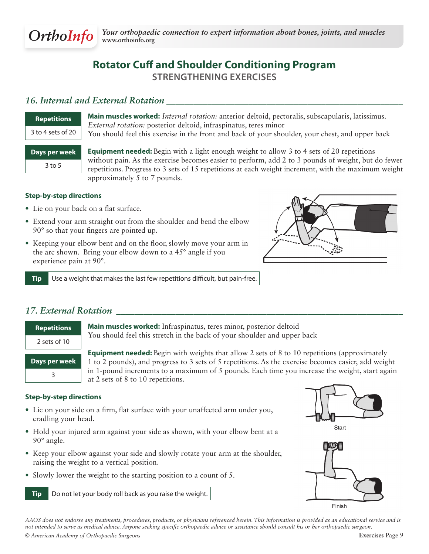

# **Rotator Cuff and Shoulder Conditioning Program Strengthening Exercises**

## *16. Internal and External Rotation \_\_\_\_\_\_\_\_\_\_\_\_\_\_\_\_\_\_\_\_\_\_\_\_\_\_\_\_\_\_\_\_\_\_\_\_\_\_\_\_\_\_\_\_\_\_\_\_\_\_\_\_*

| <b>Repetitions</b> |  |
|--------------------|--|
| 3 to 4 sets of 20  |  |

**Main muscles worked:** *Internal rotation:* anterior deltoid, pectoralis, subscapularis, latissimus. *External rotation:* posterior deltoid, infraspinatus, teres minor You should feel this exercise in the front and back of your shoulder, your chest, and upper back

**Days per week** 3 to 5

**Equipment needed:** Begin with a light enough weight to allow 3 to 4 sets of 20 repetitions without pain. As the exercise becomes easier to perform, add 2 to 3 pounds of weight, but do fewer repetitions. Progress to 3 sets of 15 repetitions at each weight increment, with the maximum weight approximately 5 to 7 pounds.

### **Step-by-step directions**

- Lie on your back on a flat surface.
- Extend your arm straight out from the shoulder and bend the elbow 90° so that your fingers are pointed up.
- Keeping your elbow bent and on the floor, slowly move your arm in the arc shown. Bring your elbow down to a 45° angle if you experience pain at 90°.



**Tip** Use a weight that makes the last few repetitions difficult, but pain-free.

## *17. External Rotation \_\_\_\_\_\_\_\_\_\_\_\_\_\_\_\_\_\_\_\_\_\_\_\_\_\_\_\_\_\_\_\_\_\_\_\_\_\_\_\_\_\_\_\_\_\_\_\_\_\_\_\_\_\_\_\_\_\_\_\_\_\_\_*

| <b>Repetitions</b> |
|--------------------|
| 2 sets of 10       |
| Days per week      |
|                    |

**Main muscles worked:** Infraspinatus, teres minor, posterior deltoid You should feel this stretch in the back of your shoulder and upper back

**Equipment needed:** Begin with weights that allow 2 sets of 8 to 10 repetitions (approximately 1 to 2 pounds), and progress to 3 sets of 5 repetitions. As the exercise becomes easier, add weight in 1-pound increments to a maximum of 5 pounds. Each time you increase the weight, start again  $\Box$  at 2 sets of 8 to 10 repetitions.

#### **Step-by-step directions**

- Lie on your side on a firm, flat surface with your unaffected arm under you, cradling your head.
- Hold your injured arm against your side as shown, with your elbow bent at a 90° angle.
- Keep your elbow against your side and slowly rotate your arm at the shoulder, raising the weight to a vertical position.
- Slowly lower the weight to the starting position to a count of 5.

**Tip** Do not let your body roll back as you raise the weight.